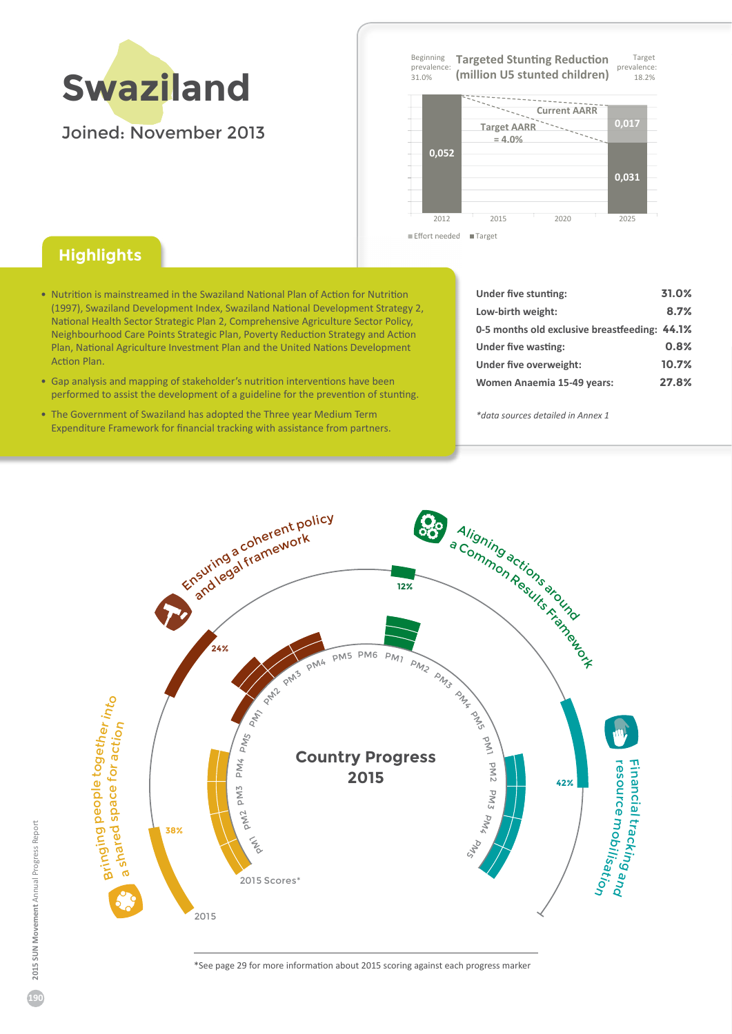

**Target** prevalence 18 . 2% Beginning prevalence .<br>31.0% **Targeted Stunting Reduction (million U5 stunted children)**





## **Highlights**

- Nutrition is mainstreamed in the Swaziland National Plan of Action for Nutrition (1997). Swaziland Development Index. Swaziland National Development Strategy 2. Eational Health Sector Strategic Plan 2͕ Comprehensive Agriculture Sector Policy͕ Eeighbourhood Care Points Strategic Plan͕ Poverty Reduction Strategy and Action Plan, National Agriculture Investment Plan and the United Nations Development Action Plan.
- Gap analysis and mapping of stakeholder's nutrition interventions have been performed to assist the development of a guideline for the prevention of stunting.
- The Government of Swaziland has adopted the Three year Medium Term Expenditure Framework for financial tracking with assistance from partners.

| Under five stunting:                          | 31.0% |
|-----------------------------------------------|-------|
| Low-birth weight:                             | 8.7%  |
| 0-5 months old exclusive breastfeeding: 44.1% |       |
| Under five wasting:                           | 0.8%  |
| Under five overweight:                        | 10.7% |
| Women Anaemia 15-49 years:                    | 27.8% |

*\*data sources detailed in Annex 1*



ΎSee page 2ϵ for more information about 2015 scoring against each progress marker